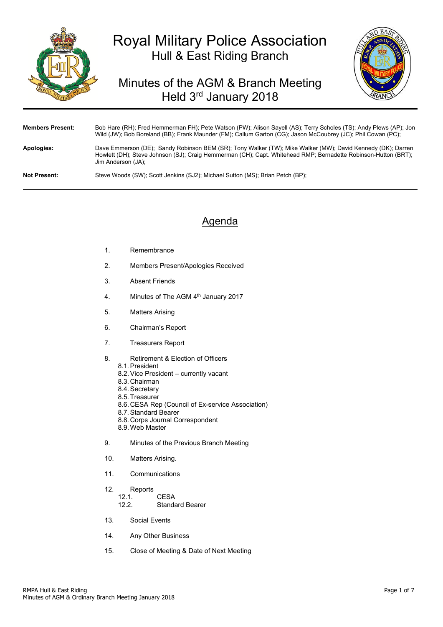

# Royal Military Police Association Hull & East Riding Branch

# Minutes of the AGM & Branch Meeting Held 3rd January 2018



| <b>Members Present:</b> | Bob Hare (RH); Fred Hemmerman FH); Pete Watson (PW); Alison Sayell (AS); Terry Scholes (TS); Andy Plews (AP); Jon<br>Wild (JW); Bob Boreland (BB); Frank Maunder (FM); Callum Garton (CG); Jason McCoubrey (JC); Phil Cowan (PC);                   |
|-------------------------|-----------------------------------------------------------------------------------------------------------------------------------------------------------------------------------------------------------------------------------------------------|
| Apologies:              | Dave Emmerson (DE); Sandy Robinson BEM (SR); Tony Walker (TW); Mike Walker (MW); David Kennedy (DK); Darren<br>Howlett (DH); Steve Johnson (SJ); Craig Hemmerman (CH); Capt. Whitehead RMP; Bernadette Robinson-Hutton (BRT);<br>Jim Anderson (JA): |
| <b>Not Present:</b>     | Steve Woods (SW); Scott Jenkins (SJ2); Michael Sutton (MS); Brian Petch (BP);                                                                                                                                                                       |

## Agenda

- 1. Remembrance
- 2. Members Present/Apologies Received
- 3. Absent Friends
- 4. Minutes of The AGM 4<sup>th</sup> January 2017
- 5. Matters Arising
- 6. Chairman's Report
- 7. Treasurers Report
- 8. Retirement & Election of Officers
	- 8.1. President
	- 8.2. Vice President currently vacant
	- 8.3. Chairman
	- 8.4. Secretary
	- 8.5. Treasurer
	- 8.6. CESA Rep (Council of Ex-service Association)
	- 8.7. Standard Bearer
	- 8.8. Corps Journal Correspondent
	- 8.9. Web Master
- 9. Minutes of the Previous Branch Meeting
- 10. Matters Arising.
- 11. Communications
- 12. Reports
	- 12.1. CESA<br>12.2. Standa
		- Standard Bearer
- 13. Social Events
- 14. Any Other Business
- 15. Close of Meeting & Date of Next Meeting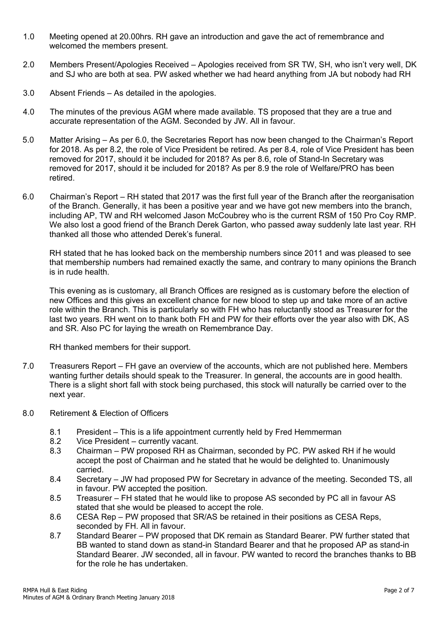- 1.0 Meeting opened at 20.00hrs. RH gave an introduction and gave the act of remembrance and welcomed the members present.
- 2.0 Members Present/Apologies Received Apologies received from SR TW, SH, who isn't very well, DK and SJ who are both at sea. PW asked whether we had heard anything from JA but nobody had RH
- 3.0 Absent Friends As detailed in the apologies.
- 4.0 The minutes of the previous AGM where made available. TS proposed that they are a true and accurate representation of the AGM. Seconded by JW. All in favour.
- 5.0 Matter Arising As per 6.0, the Secretaries Report has now been changed to the Chairman's Report for 2018. As per 8.2, the role of Vice President be retired. As per 8.4, role of Vice President has been removed for 2017, should it be included for 2018? As per 8.6, role of Stand-In Secretary was removed for 2017, should it be included for 2018? As per 8.9 the role of Welfare/PRO has been retired.
- 6.0 Chairman's Report RH stated that 2017 was the first full year of the Branch after the reorganisation of the Branch. Generally, it has been a positive year and we have got new members into the branch, including AP, TW and RH welcomed Jason McCoubrey who is the current RSM of 150 Pro Coy RMP. We also lost a good friend of the Branch Derek Garton, who passed away suddenly late last year. RH thanked all those who attended Derek's funeral.

RH stated that he has looked back on the membership numbers since 2011 and was pleased to see that membership numbers had remained exactly the same, and contrary to many opinions the Branch is in rude health.

This evening as is customary, all Branch Offices are resigned as is customary before the election of new Offices and this gives an excellent chance for new blood to step up and take more of an active role within the Branch. This is particularly so with FH who has reluctantly stood as Treasurer for the last two years. RH went on to thank both FH and PW for their efforts over the year also with DK, AS and SR. Also PC for laying the wreath on Remembrance Day.

RH thanked members for their support.

- 7.0 Treasurers Report FH gave an overview of the accounts, which are not published here. Members wanting further details should speak to the Treasurer. In general, the accounts are in good health. There is a slight short fall with stock being purchased, this stock will naturally be carried over to the next year.
- 8.0 Retirement & Election of Officers
	- 8.1 President This is a life appointment currently held by Fred Hemmerman
	- 8.2 Vice President currently vacant.
	- 8.3 Chairman PW proposed RH as Chairman, seconded by PC. PW asked RH if he would accept the post of Chairman and he stated that he would be delighted to. Unanimously carried.
	- 8.4 Secretary JW had proposed PW for Secretary in advance of the meeting. Seconded TS, all in favour. PW accepted the position.
	- 8.5 Treasurer FH stated that he would like to propose AS seconded by PC all in favour AS stated that she would be pleased to accept the role.
	- 8.6 CESA Rep PW proposed that SR/AS be retained in their positions as CESA Reps, seconded by FH. All in favour.
	- 8.7 Standard Bearer PW proposed that DK remain as Standard Bearer. PW further stated that BB wanted to stand down as stand-in Standard Bearer and that he proposed AP as stand-in Standard Bearer. JW seconded, all in favour. PW wanted to record the branches thanks to BB for the role he has undertaken.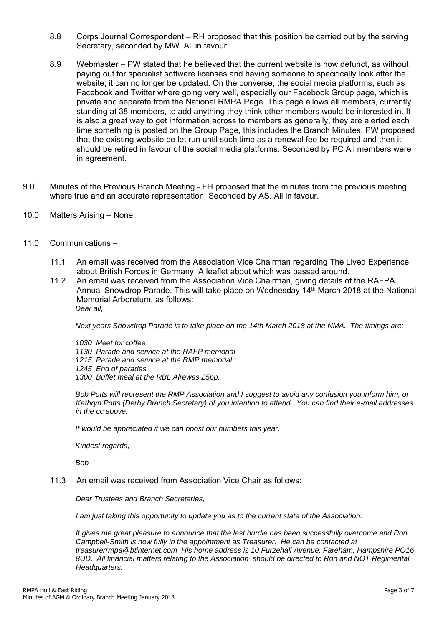- 8.8 Corps Journal Correspondent RH proposed that this position be carried out by the serving Secretary, seconded by MW. All in favour.
- 8.9 Webmaster PW stated that he believed that the current website is now defunct, as without paying out for specialist software licenses and having someone to specifically look after the website, it can no longer be updated. On the converse, the social media platforms, such as Facebook and Twitter where going very well, especially our Facebook Group page, which is private and separate from the National RMPA Page. This page allows all members, currently standing at 38 members, to add anything they think other members would be interested in. It is also a great way to get information across to members as generally, they are alerted each time something is posted on the Group Page, this includes the Branch Minutes. PW proposed that the existing website be let run until such time as a renewal fee be required and then it should be retired in favour of the social media platforms. Seconded by PC All members were in agreement.
- 9.0 Minutes of the Previous Branch Meeting FH proposed that the minutes from the previous meeting where true and an accurate representation. Seconded by AS. All in favour.
- 10.0 Matters Arising None.
- 11.0 Communications
	- 11.1 An email was received from the Association Vice Chairman regarding The Lived Experience about British Forces in Germany. A leaflet about which was passed around.
	- 11.2 An email was received from the Association Vice Chairman, giving details of the RAFPA Annual Snowdrop Parade. This will take place on Wednesday 14<sup>th</sup> March 2018 at the National Memorial Arboretum, as follows: *Dear all,*

*Next years Snowdrop Parade is to take place on the 14th March 2018 at the NMA. The timings are:* 

*1030 Meet for coffee 1130 Parade and service at the RAFP memorial 1215 Parade and service at the RMP memorial 1245 End of parades 1300 Buffet meal at the RBL Alrewas,£5pp.* 

*Bob Potts will represent the RMP Association and I suggest to avoid any confusion you inform him, or Kathryn Potts (Derby Branch Secretary) of you intention to attend. You can find their e-mail addresses in the cc above.* 

*It would be appreciated if we can boost our numbers this year.* 

*Kindest regards,* 

*Bob* 

11.3 An email was received from Association Vice Chair as follows:

*Dear Trustees and Branch Secretaries,* 

*I am just taking this opportunity to update you as to the current state of the Association.* 

*It gives me great pleasure to announce that the last hurdle has been successfully overcome and Ron Campbell-Smith is now fully in the appointment as Treasurer. He can be contacted at treasurerrmpa@btinternet.com His home address is 10 Furzehall Avenue, Fareham, Hampshire PO16 8UD. All financial matters relating to the Association should be directed to Ron and NOT Regimental Headquarters.*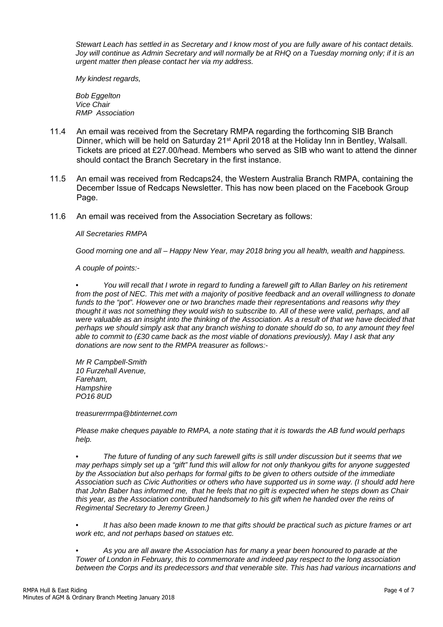*Stewart Leach has settled in as Secretary and I know most of you are fully aware of his contact details. Joy will continue as Admin Secretary and will normally be at RHQ on a Tuesday morning only; if it is an urgent matter then please contact her via my address.* 

*My kindest regards,* 

*Bob Eggelton Vice Chair RMP Association* 

- 11.4 An email was received from the Secretary RMPA regarding the forthcoming SIB Branch Dinner, which will be held on Saturday 21<sup>st</sup> April 2018 at the Holiday Inn in Bentley, Walsall. Tickets are priced at £27.00/head. Members who served as SIB who want to attend the dinner should contact the Branch Secretary in the first instance.
- 11.5 An email was received from Redcaps24, the Western Australia Branch RMPA, containing the December Issue of Redcaps Newsletter. This has now been placed on the Facebook Group Page.
- 11.6 An email was received from the Association Secretary as follows:

*All Secretaries RMPA* 

*Good morning one and all – Happy New Year, may 2018 bring you all health, wealth and happiness.* 

*A couple of points:-* 

*• You will recall that I wrote in regard to funding a farewell gift to Allan Barley on his retirement from the post of NEC. This met with a majority of positive feedback and an overall willingness to donate funds to the "pot". However one or two branches made their representations and reasons why they thought it was not something they would wish to subscribe to. All of these were valid, perhaps, and all were valuable as an insight into the thinking of the Association. As a result of that we have decided that perhaps we should simply ask that any branch wishing to donate should do so, to any amount they feel able to commit to (£30 came back as the most viable of donations previously). May I ask that any donations are now sent to the RMPA treasurer as follows:-* 

*Mr R Campbell-Smith 10 Furzehall Avenue, Fareham, Hampshire PO16 8UD* 

*treasurerrmpa@btinternet.com* 

*Please make cheques payable to RMPA, a note stating that it is towards the AB fund would perhaps help.* 

*• The future of funding of any such farewell gifts is still under discussion but it seems that we may perhaps simply set up a "gift" fund this will allow for not only thankyou gifts for anyone suggested by the Association but also perhaps for formal gifts to be given to others outside of the immediate Association such as Civic Authorities or others who have supported us in some way. (I should add here that John Baber has informed me, that he feels that no gift is expected when he steps down as Chair this year, as the Association contributed handsomely to his gift when he handed over the reins of Regimental Secretary to Jeremy Green.)* 

*• It has also been made known to me that gifts should be practical such as picture frames or art work etc, and not perhaps based on statues etc.* 

*• As you are all aware the Association has for many a year been honoured to parade at the Tower of London in February, this to commemorate and indeed pay respect to the long association between the Corps and its predecessors and that venerable site. This has had various incarnations and*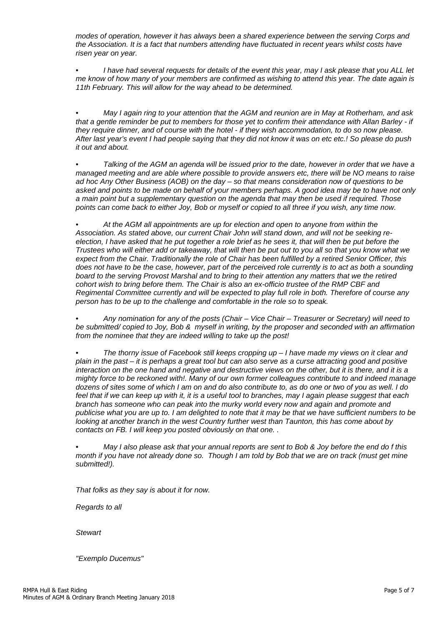*modes of operation, however it has always been a shared experience between the serving Corps and the Association. It is a fact that numbers attending have fluctuated in recent years whilst costs have risen year on year.* 

*• I have had several requests for details of the event this year, may I ask please that you ALL let me know of how many of your members are confirmed as wishing to attend this year. The date again is 11th February. This will allow for the way ahead to be determined.* 

*• May I again ring to your attention that the AGM and reunion are in May at Rotherham, and ask that a gentle reminder be put to members for those yet to confirm their attendance with Allan Barley - if they require dinner, and of course with the hotel - if they wish accommodation, to do so now please. After last year's event I had people saying that they did not know it was on etc etc.! So please do push it out and about.* 

*• Talking of the AGM an agenda will be issued prior to the date, however in order that we have a managed meeting and are able where possible to provide answers etc, there will be NO means to raise ad hoc Any Other Business (AOB) on the day – so that means consideration now of questions to be asked and points to be made on behalf of your members perhaps. A good idea may be to have not only a main point but a supplementary question on the agenda that may then be used if required. Those points can come back to either Joy, Bob or myself or copied to all three if you wish, any time now.* 

*• At the AGM all appointments are up for election and open to anyone from within the Association. As stated above, our current Chair John will stand down, and will not be seeking reelection, I have asked that he put together a role brief as he sees it, that will then be put before the Trustees who will either add or takeaway, that will then be put out to you all so that you know what we expect from the Chair. Traditionally the role of Chair has been fulfilled by a retired Senior Officer, this does not have to be the case, however, part of the perceived role currently is to act as both a sounding board to the serving Provost Marshal and to bring to their attention any matters that we the retired cohort wish to bring before them. The Chair is also an ex-officio trustee of the RMP CBF and Regimental Committee currently and will be expected to play full role in both. Therefore of course any person has to be up to the challenge and comfortable in the role so to speak.* 

*• Any nomination for any of the posts (Chair – Vice Chair – Treasurer or Secretary) will need to be submitted/ copied to Joy, Bob & myself in writing, by the proposer and seconded with an affirmation from the nominee that they are indeed willing to take up the post!* 

*• The thorny issue of Facebook still keeps cropping up – I have made my views on it clear and plain in the past – it is perhaps a great tool but can also serve as a curse attracting good and positive interaction on the one hand and negative and destructive views on the other, but it is there, and it is a mighty force to be reckoned with!. Many of our own former colleagues contribute to and indeed manage dozens of sites some of which I am on and do also contribute to, as do one or two of you as well. I do feel that if we can keep up with it, it is a useful tool to branches, may I again please suggest that each branch has someone who can peak into the murky world every now and again and promote and publicise what you are up to. I am delighted to note that it may be that we have sufficient numbers to be looking at another branch in the west Country further west than Taunton, this has come about by contacts on FB. I will keep you posted obviously on that one. .* 

*• May I also please ask that your annual reports are sent to Bob & Joy before the end do f this month if you have not already done so. Though I am told by Bob that we are on track (must get mine submitted!).* 

*That folks as they say is about it for now.* 

*Regards to all* 

*Stewart* 

*"Exemplo Ducemus"*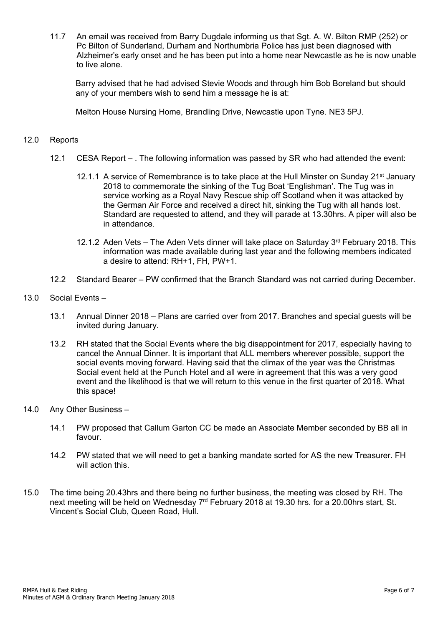11.7 An email was received from Barry Dugdale informing us that Sgt. A. W. Bilton RMP (252) or Pc Bilton of Sunderland, Durham and Northumbria Police has just been diagnosed with Alzheimer's early onset and he has been put into a home near Newcastle as he is now unable to live alone.

Barry advised that he had advised Stevie Woods and through him Bob Boreland but should any of your members wish to send him a message he is at:

Melton House Nursing Home, Brandling Drive, Newcastle upon Tyne. NE3 5PJ.

#### 12.0 Reports

- 12.1 CESA Report . The following information was passed by SR who had attended the event:
	- 12.1.1 A service of Remembrance is to take place at the Hull Minster on Sunday 21<sup>st</sup> January 2018 to commemorate the sinking of the Tug Boat 'Englishman'. The Tug was in service working as a Royal Navy Rescue ship off Scotland when it was attacked by the German Air Force and received a direct hit, sinking the Tug with all hands lost. Standard are requested to attend, and they will parade at 13.30hrs. A piper will also be in attendance.
	- 12.1.2 Aden Vets The Aden Vets dinner will take place on Saturday 3rd February 2018. This information was made available during last year and the following members indicated a desire to attend: RH+1, FH, PW+1.
- 12.2 Standard Bearer PW confirmed that the Branch Standard was not carried during December.
- 13.0 Social Events
	- 13.1 Annual Dinner 2018 Plans are carried over from 2017. Branches and special guests will be invited during January.
	- 13.2 RH stated that the Social Events where the big disappointment for 2017, especially having to cancel the Annual Dinner. It is important that ALL members wherever possible, support the social events moving forward. Having said that the climax of the year was the Christmas Social event held at the Punch Hotel and all were in agreement that this was a very good event and the likelihood is that we will return to this venue in the first quarter of 2018. What this space!
- 14.0 Any Other Business
	- 14.1 PW proposed that Callum Garton CC be made an Associate Member seconded by BB all in favour.
	- 14.2 PW stated that we will need to get a banking mandate sorted for AS the new Treasurer. FH will action this.
- 15.0 The time being 20.43hrs and there being no further business, the meeting was closed by RH. The next meeting will be held on Wednesday 7<sup>rd</sup> February 2018 at 19.30 hrs. for a 20.00hrs start, St. Vincent's Social Club, Queen Road, Hull.